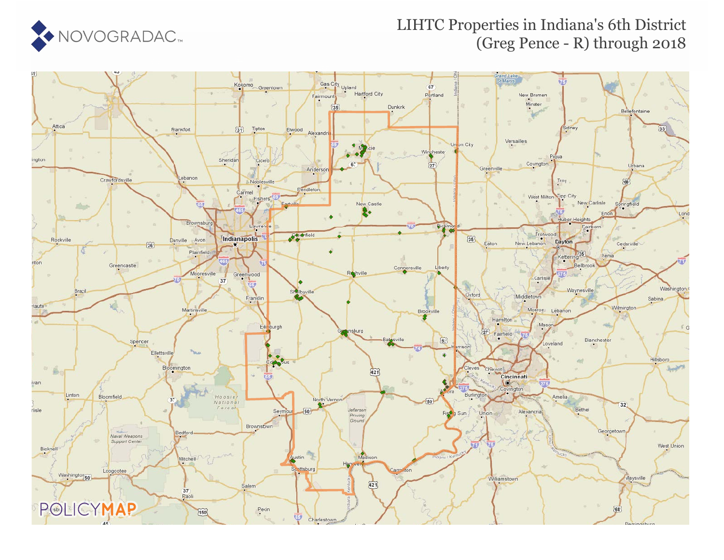

#### LIHTC Properties in Indiana's 6th District (Greg Pence - R) through 2018

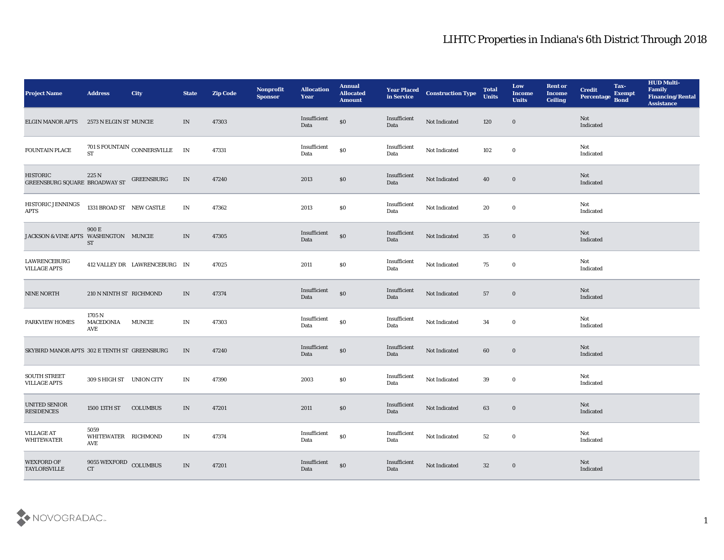| <b>Project Name</b>                              | <b>Address</b>                      | <b>City</b>                           | <b>State</b>                    | <b>Zip Code</b> | Nonprofit<br><b>Sponsor</b> | <b>Allocation</b><br><b>Year</b>            | <b>Annual</b><br><b>Allocated</b><br><b>Amount</b> | <b>Year Placed</b><br>in Service | <b>Construction Type</b> | <b>Total</b><br><b>Units</b> | Low<br><b>Income</b><br><b>Units</b> | <b>Rent or</b><br><b>Income</b><br><b>Ceiling</b> | <b>Credit</b><br>Percentage | Tax-<br><b>Exempt</b><br><b>Bond</b> | <b>HUD Multi-</b><br>Family<br><b>Financing/Rental</b><br><b>Assistance</b> |
|--------------------------------------------------|-------------------------------------|---------------------------------------|---------------------------------|-----------------|-----------------------------|---------------------------------------------|----------------------------------------------------|----------------------------------|--------------------------|------------------------------|--------------------------------------|---------------------------------------------------|-----------------------------|--------------------------------------|-----------------------------------------------------------------------------|
| <b>ELGIN MANOR APTS</b>                          | 2573 N ELGIN ST MUNCIE              |                                       | IN                              | 47303           |                             | Insufficient<br>Data                        | $\$0$                                              | Insufficient<br>Data             | Not Indicated            | 120                          | $\bf{0}$                             |                                                   | Not<br>Indicated            |                                      |                                                                             |
| FOUNTAIN PLACE                                   |                                     | $701$ S FOUNTAIN $\,$ CONNERSVILLE ST | IN                              | 47331           |                             | Insufficient<br>Data                        | $\$0$                                              | Insufficient<br>Data             | Not Indicated            | 102                          | $\bf{0}$                             |                                                   | Not<br>Indicated            |                                      |                                                                             |
| <b>HISTORIC</b><br>GREENSBURG SQUARE BROADWAY ST | 225 N                               | <b>GREENSBURG</b>                     | IN                              | 47240           |                             | 2013                                        | $\$0$                                              | Insufficient<br>Data             | Not Indicated            | 40                           | $\bf{0}$                             |                                                   | Not<br>Indicated            |                                      |                                                                             |
| HISTORIC JENNINGS<br><b>APTS</b>                 | 1331 BROAD ST NEW CASTLE            |                                       | IN                              | 47362           |                             | 2013                                        | \$0                                                | Insufficient<br>Data             | Not Indicated            | 20                           | $\bf{0}$                             |                                                   | Not<br>Indicated            |                                      |                                                                             |
| JACKSON & VINE APTS WASHINGTON MUNCIE            | 900 E<br><b>ST</b>                  |                                       | IN                              | 47305           |                             | Insufficient<br>Data                        | $\$0$                                              | Insufficient<br>Data             | Not Indicated            | 35                           | $\bf{0}$                             |                                                   | Not<br>Indicated            |                                      |                                                                             |
| <b>LAWRENCEBURG</b><br><b>VILLAGE APTS</b>       |                                     | 412 VALLEY DR LAWRENCEBURG IN         |                                 | 47025           |                             | 2011                                        | \$0                                                | Insufficient<br>Data             | Not Indicated            | 75                           | $\bf{0}$                             |                                                   | Not<br>Indicated            |                                      |                                                                             |
| <b>NINE NORTH</b>                                | 210 N NINTH ST RICHMOND             |                                       | IN                              | 47374           |                             | Insufficient<br>Data                        | $\$0$                                              | Insufficient<br>Data             | Not Indicated            | 57                           | $\bf{0}$                             |                                                   | Not<br>Indicated            |                                      |                                                                             |
| PARKVIEW HOMES                                   | 1705 N<br><b>MACEDONIA</b><br>AVE   | <b>MUNCIE</b>                         | IN                              | 47303           |                             | Insufficient<br>Data                        | $\$0$                                              | Insufficient<br>Data             | Not Indicated            | 34                           | $\bf{0}$                             |                                                   | Not<br>Indicated            |                                      |                                                                             |
| SKYBIRD MANOR APTS 302 E TENTH ST GREENSBURG     |                                     |                                       | IN                              | 47240           |                             | Insufficient<br>Data                        | \$0                                                | Insufficient<br>Data             | Not Indicated            | 60                           | $\bf{0}$                             |                                                   | Not<br>Indicated            |                                      |                                                                             |
| SOUTH STREET<br><b>VILLAGE APTS</b>              | 309 S HIGH ST UNION CITY            |                                       | $\ensuremath{\text{IN}}$        | 47390           |                             | 2003                                        | \$0                                                | Insufficient<br>Data             | Not Indicated            | 39                           | $\bf{0}$                             |                                                   | Not<br>Indicated            |                                      |                                                                             |
| <b>UNITED SENIOR</b><br><b>RESIDENCES</b>        | 1500 13TH ST                        | <b>COLUMBUS</b>                       | IN                              | 47201           |                             | 2011                                        | \$0                                                | Insufficient<br>Data             | Not Indicated            | 63                           | $\bf{0}$                             |                                                   | Not<br>Indicated            |                                      |                                                                             |
| <b>VILLAGE AT</b><br><b>WHITEWATER</b>           | 5059<br>WHITEWATER RICHMOND<br>AVE  |                                       | $\ensuremath{\text{IN}}\xspace$ | 47374           |                             | $\label{lem:optimal} In sufficient$<br>Data | $\$0$                                              | Insufficient<br>Data             | Not Indicated            | 52                           | $\bf{0}$                             |                                                   | Not<br>Indicated            |                                      |                                                                             |
| <b>WEXFORD OF</b><br><b>TAYLORSVILLE</b>         | 9055 WEXFORD COLUMBUS<br>${\rm CT}$ |                                       | IN                              | 47201           |                             | Insufficient<br>Data                        | $\$0$                                              | Insufficient<br>Data             | Not Indicated            | 32                           | $\bf{0}$                             |                                                   | Not<br>Indicated            |                                      |                                                                             |

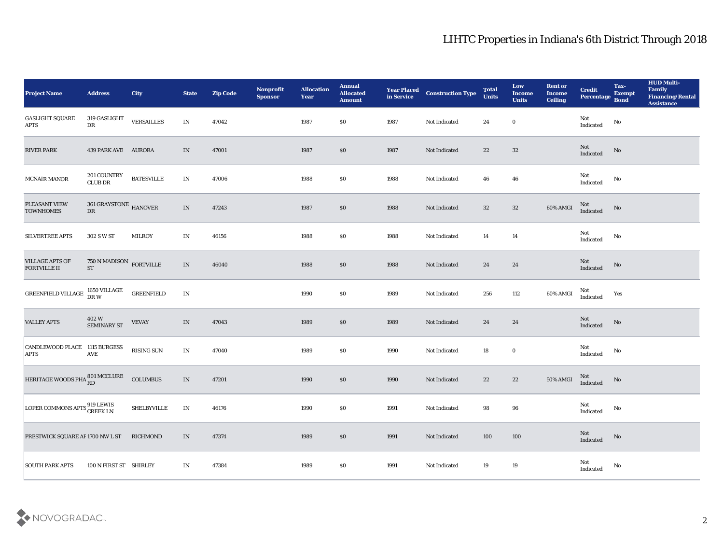| <b>Project Name</b>                          | <b>Address</b>                              | City              | <b>State</b>                    | <b>Zip Code</b> | Nonprofit<br><b>Sponsor</b> | <b>Allocation</b><br><b>Year</b> | <b>Annual</b><br><b>Allocated</b><br><b>Amount</b> | <b>Year Placed<br/>in Service</b> | <b>Construction Type</b> | <b>Total</b><br><b>Units</b> | Low<br><b>Income</b><br><b>Units</b> | <b>Rent or</b><br><b>Income</b><br><b>Ceiling</b> | <b>Credit</b><br>Percentage                | Tax-<br><b>Exempt</b><br><b>Bond</b> | <b>HUD Multi-</b><br>Family<br><b>Financing/Rental</b><br><b>Assistance</b> |
|----------------------------------------------|---------------------------------------------|-------------------|---------------------------------|-----------------|-----------------------------|----------------------------------|----------------------------------------------------|-----------------------------------|--------------------------|------------------------------|--------------------------------------|---------------------------------------------------|--------------------------------------------|--------------------------------------|-----------------------------------------------------------------------------|
| <b>GASLIGHT SQUARE</b><br><b>APTS</b>        | 319 GASLIGHT<br>DR                          | <b>VERSAILLES</b> | $\mathbf{IN}$                   | 47042           |                             | 1987                             | \$0                                                | 1987                              | Not Indicated            | 24                           | $\bf{0}$                             |                                                   | Not<br>Indicated                           | No                                   |                                                                             |
| RIVER PARK                                   | 439 PARK AVE AURORA                         |                   | IN                              | 47001           |                             | 1987                             | $\$0$                                              | 1987                              | Not Indicated            | 22                           | 32                                   |                                                   | $\operatorname{\mathsf{Not}}$<br>Indicated | No                                   |                                                                             |
| <b>MCNAIR MANOR</b>                          | 201 COUNTRY<br><b>CLUB DR</b>               | <b>BATESVILLE</b> | $\mathbf{IN}$                   | 47006           |                             | 1988                             | $\$0$                                              | 1988                              | Not Indicated            | 46                           | 46                                   |                                                   | Not<br>Indicated                           | No                                   |                                                                             |
| PLEASANT VIEW<br><b>TOWNHOMES</b>            | $361\,\mathrm{GRAYSTONE}$ HANOVER DR        |                   | $\ensuremath{\text{IN}}\xspace$ | 47243           |                             | 1987                             | S <sub>0</sub>                                     | 1988                              | Not Indicated            | 32                           | 32                                   | 60% AMGI                                          | Not<br>Indicated                           | No                                   |                                                                             |
| <b>SILVERTREE APTS</b>                       | 302 S W ST                                  | <b>MILROY</b>     | IN                              | 46156           |                             | 1988                             | $\$0$                                              | 1988                              | Not Indicated            | 14                           | 14                                   |                                                   | Not<br>$\operatorname{Indicated}$          | No                                   |                                                                             |
| <b>VILLAGE APTS OF</b><br>FORTVILLE II       | $750$ N MADISON $\,$ FORTVILLE<br><b>ST</b> |                   | IN                              | 46040           |                             | 1988                             | $\$0$                                              | 1988                              | Not Indicated            | 24                           | 24                                   |                                                   | Not<br>Indicated                           | No                                   |                                                                             |
| GREENFIELD VILLAGE                           | 1650 VILLAGE<br>DR W                        | <b>GREENFIELD</b> | $\mathbf{IN}$                   |                 |                             | 1990                             | $\$0$                                              | 1989                              | Not Indicated            | 256                          | 112                                  | 60% AMGI                                          | Not<br>Indicated                           | Yes                                  |                                                                             |
| <b>VALLEY APTS</b>                           | $402\mathrm{~W}$ SEMINARY ST                | <b>VEVAY</b>      | $\ensuremath{\text{IN}}$        | 47043           |                             | 1989                             | $\$0$                                              | 1989                              | Not Indicated            | 24                           | 24                                   |                                                   | Not<br>Indicated                           | No                                   |                                                                             |
| CANDLEWOOD PLACE 1115 BURGESS<br><b>APTS</b> | AVE                                         | <b>RISING SUN</b> | $\mathbf{IN}$                   | 47040           |                             | 1989                             | \$0                                                | 1990                              | Not Indicated            | 18                           | $\bf{0}$                             |                                                   | Not<br>Indicated                           | No                                   |                                                                             |
| HERITAGE WOODS PHA 801 MCCLURE               |                                             | <b>COLUMBUS</b>   | $\mathbf{IN}$                   | 47201           |                             | 1990                             | \$0                                                | 1990                              | Not Indicated            | 22                           | 22                                   | 50% AMGI                                          | Not<br>Indicated                           | No                                   |                                                                             |
| LOPER COMMONS APTS <sup>919</sup> LEWIS      |                                             | SHELBYVILLE       | IN                              | 46176           |                             | 1990                             | \$0                                                | 1991                              | Not Indicated            | 98                           | 96                                   |                                                   | Not<br>Indicated                           | No                                   |                                                                             |
| PRESTWICK SQUARE AF 1700 NW L ST             |                                             | RICHMOND          | $\ensuremath{\text{IN}}\xspace$ | 47374           |                             | 1989                             | $\$0$                                              | 1991                              | Not Indicated            | 100                          | $100\,$                              |                                                   | ${\rm Not}$ Indicated                      | $\rm No$                             |                                                                             |
| <b>SOUTH PARK APTS</b>                       | 100 N FIRST ST SHIRLEY                      |                   | IN                              | 47384           |                             | 1989                             | \$0                                                | 1991                              | Not Indicated            | 19                           | $19\,$                               |                                                   | Not<br>Indicated                           | No                                   |                                                                             |

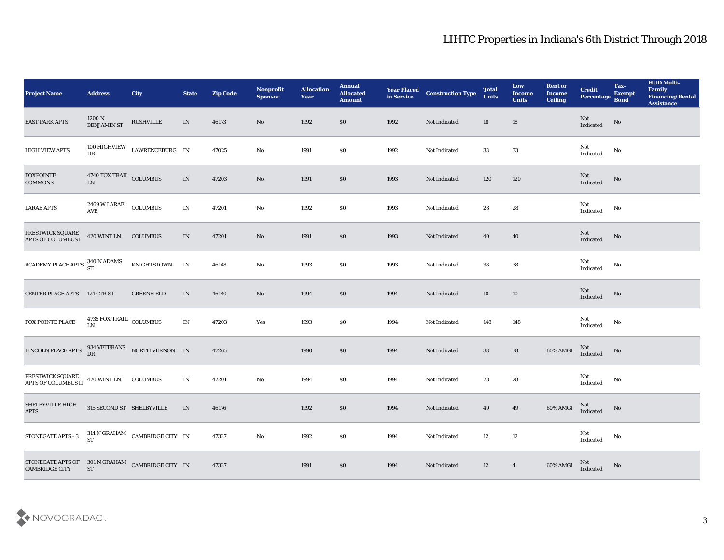| <b>Project Name</b>                                                                                                                                            | <b>Address</b>                             | <b>City</b>                                                  | <b>State</b>                    | <b>Zip Code</b> | Nonprofit<br><b>Sponsor</b> | <b>Allocation</b><br><b>Year</b> | <b>Annual</b><br><b>Allocated</b><br><b>Amount</b> | <b>Year Placed<br/>in Service</b> | <b>Construction Type</b> | <b>Total</b><br><b>Units</b> | Low<br><b>Income</b><br><b>Units</b> | <b>Rent or</b><br><b>Income</b><br><b>Ceiling</b> | <b>Credit</b><br>Percentage | Tax-<br><b>Exempt</b><br><b>Bond</b> | <b>HUD Multi-</b><br>Family<br><b>Financing/Rental</b><br><b>Assistance</b> |
|----------------------------------------------------------------------------------------------------------------------------------------------------------------|--------------------------------------------|--------------------------------------------------------------|---------------------------------|-----------------|-----------------------------|----------------------------------|----------------------------------------------------|-----------------------------------|--------------------------|------------------------------|--------------------------------------|---------------------------------------------------|-----------------------------|--------------------------------------|-----------------------------------------------------------------------------|
| <b>EAST PARK APTS</b>                                                                                                                                          | $1200$ N $\,$ BENJAMIN ST                  | RUSHVILLE                                                    | IN                              | 46173           | No                          | 1992                             | $\$0$                                              | 1992                              | Not Indicated            | 18                           | 18                                   |                                                   | Not<br>Indicated            | $\rm No$                             |                                                                             |
| <b>HIGH VIEW APTS</b>                                                                                                                                          |                                            | $100\,$ HIGHVIEW $$\tt LAWRENCEBURG$$ $\hbox{}$ IN $\hbox{}$ |                                 | 47025           | No                          | 1991                             | \$0                                                | 1992                              | Not Indicated            | 33                           | 33                                   |                                                   | Not<br>Indicated            | No                                   |                                                                             |
| <b>FOXPOINTE</b><br><b>COMMONS</b>                                                                                                                             | 4740 FOX TRAIL COLUMBUS<br>${\rm LN}$      |                                                              | $\ensuremath{\text{IN}}\xspace$ | 47203           | No                          | 1991                             | $\boldsymbol{\mathsf{S}}\boldsymbol{\mathsf{O}}$   | 1993                              | Not Indicated            | 120                          | 120                                  |                                                   | Not<br>Indicated            | No                                   |                                                                             |
| <b>LARAE APTS</b>                                                                                                                                              | $2469\text{ W LARAE}$ $\quad$ COLUMBUS AVE |                                                              | $\mathbf{IN}$                   | 47201           | $\rm\thinspace No$          | 1992                             | \$0                                                | 1993                              | Not Indicated            | 28                           | 28                                   |                                                   | Not<br>Indicated            | $\rm\thinspace No$                   |                                                                             |
| PRESTWICK SQUARE<br>APTS OF COLUMBUS I                                                                                                                         | 420 WINT LN COLUMBUS                       |                                                              | IN                              | 47201           | No                          | 1991                             | $\$0$                                              | 1993                              | Not Indicated            | 40                           | 40                                   |                                                   | Not<br>Indicated            | No                                   |                                                                             |
| $\left $ ACADEMY PLACE APTS $\frac{340 \text{ N ADAMS}}{\text{ST}}$                                                                                            |                                            | KNIGHTSTOWN                                                  | IN                              | 46148           | $\mathbf{No}$               | 1993                             | \$0                                                | 1993                              | Not Indicated            | 38                           | 38                                   |                                                   | Not<br>Indicated            | No                                   |                                                                             |
| <b>CENTER PLACE APTS</b>                                                                                                                                       | 121 CTR ST                                 | <b>GREENFIELD</b>                                            | IN                              | 46140           | No                          | 1994                             | $\$0$                                              | 1994                              | Not Indicated            | 10                           | 10                                   |                                                   | ${\rm Not}$ Indicated       | $\mathbf{N}\mathbf{o}$               |                                                                             |
| <b>FOX POINTE PLACE</b>                                                                                                                                        | 4735 FOX TRAIL COLUMBUS<br>LN              |                                                              | IN                              | 47203           | Yes                         | 1993                             | \$0                                                | 1994                              | Not Indicated            | 148                          | 148                                  |                                                   | Not<br>Indicated            | $\mathbf{N}\mathbf{o}$               |                                                                             |
| <b>LINCOLN PLACE APTS</b>                                                                                                                                      |                                            | 934 VETERANS NORTH VERNON IN DR                              |                                 | 47265           |                             | 1990                             | \$0                                                | 1994                              | Not Indicated            | 38                           | 38                                   | 60% AMGI                                          | Not<br>Indicated            | No                                   |                                                                             |
| <b>PRESTWICK SQUARE</b><br>APTS OF COLUMBUS II                                                                                                                 | 420 WINT LN COLUMBUS                       |                                                              | $\mathbf{IN}$                   | 47201           | $\rm\thinspace No$          | 1994                             | \$0                                                | 1994                              | Not Indicated            | 28                           | 28                                   |                                                   | Not<br>Indicated            | $\rm\thinspace No$                   |                                                                             |
| <b>SHELBYVILLE HIGH</b><br><b>APTS</b>                                                                                                                         | 315 SECOND ST SHELBYVILLE                  |                                                              | IN                              | 46176           |                             | 1992                             | \$0                                                | 1994                              | Not Indicated            | 49                           | 49                                   | 60% AMGI                                          | Not<br>Indicated            | No                                   |                                                                             |
| STONEGATE APTS - 3                                                                                                                                             |                                            | $314$ N GRAHAM $\;$ CAMBRIDGE CITY $\;$ IN $\;$ ST           |                                 | 47327           | $\mathbf {No}$              | 1992                             | \$0                                                | 1994                              | Not Indicated            | 12                           | 12                                   |                                                   | Not<br>Indicated            | $\rm \bf No$                         |                                                                             |
| $\begin{tabular}{llll} \bf STONEGATE \, APTS \, OF & \, 301 \, N \, GRAHAM & \, CAMBRIDGE \, CITY & \, IN \\ \bf CAMBRIDGE \, CITY & \, ST & \, \end{tabular}$ |                                            |                                                              |                                 | 47327           |                             | 1991                             | $\boldsymbol{\mathsf{S}}\boldsymbol{\mathsf{O}}$   | 1994                              | Not Indicated            | 12                           | $\overline{\mathbf{4}}$              | 60% AMGI                                          | Not<br>Indicated            | $\mathbf{N}\mathbf{o}$               |                                                                             |

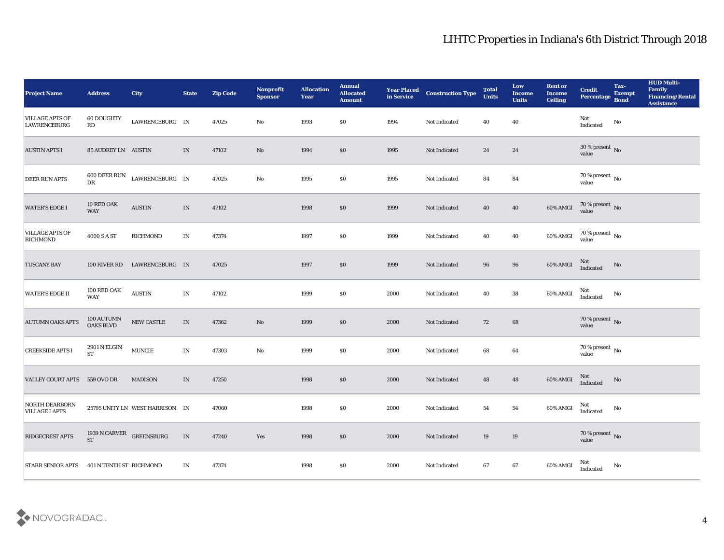| <b>Project Name</b>                            | <b>Address</b>                   | <b>City</b>                     | <b>State</b>  | <b>Zip Code</b> | Nonprofit<br><b>Sponsor</b> | <b>Allocation</b><br><b>Year</b> | <b>Annual</b><br><b>Allocated</b><br><b>Amount</b> | <b>Year Placed</b><br>in Service | <b>Construction Type</b> | <b>Total</b><br>Units | Low<br><b>Income</b><br><b>Units</b> | <b>Rent or</b><br><b>Income</b><br><b>Ceiling</b> | <b>Credit</b><br>Percentage         | Tax-<br><b>Exempt</b><br><b>Bond</b> | <b>HUD Multi-</b><br>Family<br><b>Financing/Rental</b><br><b>Assistance</b> |
|------------------------------------------------|----------------------------------|---------------------------------|---------------|-----------------|-----------------------------|----------------------------------|----------------------------------------------------|----------------------------------|--------------------------|-----------------------|--------------------------------------|---------------------------------------------------|-------------------------------------|--------------------------------------|-----------------------------------------------------------------------------|
| <b>VILLAGE APTS OF</b><br><b>LAWRENCEBURG</b>  | <b>60 DOUGHTY</b><br>RD          | LAWRENCEBURG IN                 |               | 47025           | No                          | 1993                             | \$0                                                | 1994                             | Not Indicated            | 40                    | 40                                   |                                                   | Not<br>$\operatorname{Indicated}$   | No                                   |                                                                             |
| <b>AUSTIN APTS I</b>                           | 85 AUDREY LN AUSTIN              |                                 | IN            | 47102           | No                          | 1994                             | \$0                                                | 1995                             | Not Indicated            | 24                    | 24                                   |                                                   | $30\,\%$ present $\,$ No value      |                                      |                                                                             |
| <b>DEER RUN APTS</b>                           | 600 DEER RUN<br>DR               | LAWRENCEBURG IN                 |               | 47025           | $\mathbf{N}\mathbf{o}$      | 1995                             | \$0                                                | 1995                             | Not Indicated            | 84                    | 84                                   |                                                   | $70\,\%$ present $\,$ No value      |                                      |                                                                             |
| <b>WATER'S EDGE I</b>                          | 10 RED OAK<br><b>WAY</b>         | <b>AUSTIN</b>                   | IN            | 47102           |                             | 1998                             | \$0                                                | 1999                             | Not Indicated            | 40                    | 40                                   | 60% AMGI                                          | $70\,\%$ present $\,$ No value      |                                      |                                                                             |
| <b>VILLAGE APTS OF</b><br><b>RICHMOND</b>      | 4000 S A ST                      | <b>RICHMOND</b>                 | IN            | 47374           |                             | 1997                             | \$0                                                | 1999                             | Not Indicated            | 40                    | 40                                   | 60% AMGI                                          | $70\,\%$ present $\,$ No value      |                                      |                                                                             |
| <b>TUSCANY BAY</b>                             |                                  | 100 RIVER RD LAWRENCEBURG IN    |               | 47025           |                             | 1997                             | \$0                                                | 1999                             | Not Indicated            | 96                    | 96                                   | 60% AMGI                                          | Not<br>Indicated                    | No                                   |                                                                             |
| <b>WATER'S EDGE II</b>                         | 100 RED OAK<br><b>WAY</b>        | $\boldsymbol{\mathrm{AUSTIN}}$  | $\mathbf{IN}$ | 47102           |                             | 1999                             | \$0                                                | 2000                             | Not Indicated            | 40                    | 38                                   | 60% AMGI                                          | Not<br>Indicated                    | No                                   |                                                                             |
| <b>AUTUMN OAKS APTS</b>                        | 100 AUTUMN<br><b>OAKS BLVD</b>   | NEW CASTLE                      | IN            | 47362           | $\mathbf{N}\mathbf{o}$      | 1999                             | \$0                                                | 2000                             | Not Indicated            | 72                    | 68                                   |                                                   | $70\,\%$ present $\,$ No $\,$ value |                                      |                                                                             |
| <b>CREEKSIDE APTS I</b>                        | <b>2901 N ELGIN</b><br><b>ST</b> | $\texttt{MUNCIE}$               | $\mathbf{IN}$ | 47303           | $\rm\thinspace No$          | 1999                             | \$0                                                | 2000                             | Not Indicated            | 68                    | 64                                   |                                                   | $70\,\%$ present $\,$ No value      |                                      |                                                                             |
| VALLEY COURT APTS 559 OVO DR                   |                                  | <b>MADISON</b>                  | IN            | 47250           |                             | 1998                             | \$0                                                | 2000                             | Not Indicated            | 48                    | 48                                   | 60% AMGI                                          | Not<br>Indicated                    | No                                   |                                                                             |
| <b>NORTH DEARBORN</b><br><b>VILLAGE I APTS</b> |                                  | 25795 UNITY LN WEST HARRISON IN |               | 47060           |                             | 1998                             | \$0                                                | 2000                             | Not Indicated            | 54                    | 54                                   | 60% AMGI                                          | Not<br>Indicated                    | No                                   |                                                                             |
| <b>RIDGECREST APTS</b>                         | <b>ST</b>                        | 1939 N CARVER GREENSBURG        | $\;$ IN       | 47240           | Yes                         | 1998                             | $\$0$                                              | 2000                             | Not Indicated            | 19                    | $19\,$                               |                                                   | $70\,\%$ present $\,$ No value      |                                      |                                                                             |
| STARR SENIOR APTS                              | 401 N TENTH ST RICHMOND          |                                 | $\mathbf{IN}$ | 47374           |                             | 1998                             | $\$0$                                              | 2000                             | Not Indicated            | 67                    | ${\bf 67}$                           | 60% AMGI                                          | Not<br>Indicated                    | $\mathbf {No}$                       |                                                                             |

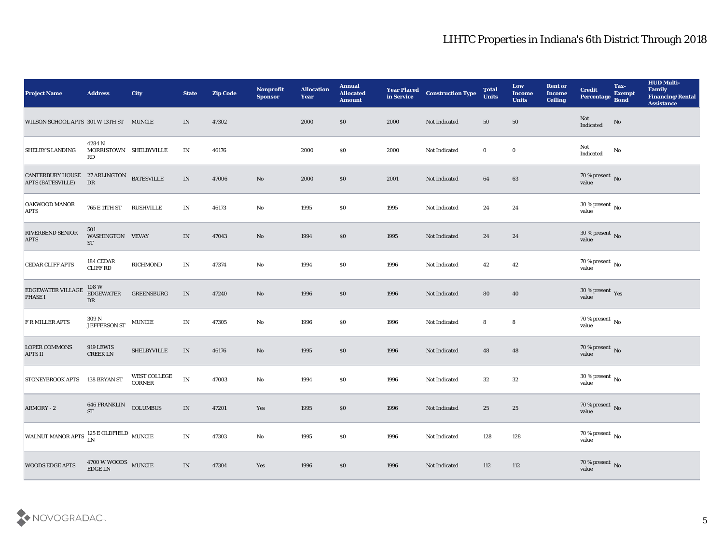| <b>Project Name</b>                                                  | <b>Address</b>                                    | <b>City</b>                          | <b>State</b>                    | <b>Zip Code</b> | Nonprofit<br><b>Sponsor</b> | <b>Allocation</b><br><b>Year</b> | <b>Annual</b><br><b>Allocated</b><br><b>Amount</b> | <b>Year Placed</b><br>in Service | <b>Construction Type</b> | <b>Total</b><br><b>Units</b> | Low<br><b>Income</b><br><b>Units</b> | <b>Rent or</b><br><b>Income</b><br><b>Ceiling</b> | <b>Credit</b><br><b>Percentage</b> | Tax-<br><b>Exempt</b><br><b>Bond</b> | <b>HUD Multi-</b><br>Family<br><b>Financing/Rental</b><br><b>Assistance</b> |
|----------------------------------------------------------------------|---------------------------------------------------|--------------------------------------|---------------------------------|-----------------|-----------------------------|----------------------------------|----------------------------------------------------|----------------------------------|--------------------------|------------------------------|--------------------------------------|---------------------------------------------------|------------------------------------|--------------------------------------|-----------------------------------------------------------------------------|
| WILSON SCHOOL APTS 301 W 13TH ST MUNCIE                              |                                                   |                                      | IN                              | 47302           |                             | 2000                             | \$0                                                | 2000                             | Not Indicated            | 50                           | 50                                   |                                                   | Not<br>Indicated                   | No                                   |                                                                             |
| <b>SHELBY'S LANDING</b>                                              | 4284 N<br>MORRISTOWN SHELBYVILLE<br>RD            |                                      | IN                              | 46176           |                             | 2000                             | \$0                                                | 2000                             | Not Indicated            | $\bf{0}$                     | $\bf{0}$                             |                                                   | Not<br>Indicated                   | No                                   |                                                                             |
| CANTERBURY HOUSE 27 ARLINGTON BATESVILLE<br><b>APTS (BATESVILLE)</b> | ${\rm DR}$                                        |                                      | $\ensuremath{\text{IN}}\xspace$ | 47006           | $\mathbf{N}\mathbf{o}$      | 2000                             | \$0                                                | 2001                             | Not Indicated            | 64                           | 63                                   |                                                   | $70\,\%$ present $\,$ No value     |                                      |                                                                             |
| <b>OAKWOOD MANOR</b><br><b>APTS</b>                                  | 765 E 11TH ST                                     | RUSHVILLE                            | $\mathbf{IN}$                   | 46173           | $\mathbf{N}\mathbf{o}$      | 1995                             | \$0                                                | 1995                             | Not Indicated            | 24                           | 24                                   |                                                   | $30\,\%$ present $\,$ No value     |                                      |                                                                             |
| RIVERBEND SENIOR<br><b>APTS</b>                                      | 501<br>WASHINGTON VEVAY<br>$\operatorname{ST}$    |                                      | IN                              | 47043           | No                          | 1994                             | \$0                                                | 1995                             | Not Indicated            | 24                           | 24                                   |                                                   | $30\,\%$ present $\,$ No value     |                                      |                                                                             |
| <b>CEDAR CLIFF APTS</b>                                              | 184 CEDAR<br><b>CLIFF RD</b>                      | RICHMOND                             | IN                              | 47374           | No                          | 1994                             | \$0                                                | 1996                             | Not Indicated            | 42                           | 42                                   |                                                   | $70\,\% \,present \over value$     |                                      |                                                                             |
| <b>EDGEWATER VILLAGE</b><br><b>PHASE I</b>                           | 108 W<br><b>EDGEWATER</b><br>DR                   | <b>GREENSBURG</b>                    | IN                              | 47240           | No                          | 1996                             | \$0                                                | 1996                             | Not Indicated            | 80                           | 40                                   |                                                   | $30\,\%$ present $\,$ Yes value    |                                      |                                                                             |
| <b>F R MILLER APTS</b>                                               | 309 N<br><b>JEFFERSON ST</b>                      | <b>MUNCIE</b>                        | $\mathbf{IN}$                   | 47305           | No                          | 1996                             | \$0                                                | 1996                             | Not Indicated            | 8                            | $\boldsymbol{8}$                     |                                                   | $70\,\%$ present $\,$ No value     |                                      |                                                                             |
| <b>LOPER COMMONS</b><br><b>APTS II</b>                               | 919 LEWIS<br><b>CREEK LN</b>                      | <b>SHELBYVILLE</b>                   | $\ensuremath{\text{IN}}\xspace$ | 46176           | No                          | 1995                             | \$0                                                | 1996                             | Not Indicated            | 48                           | 48                                   |                                                   | $70\,\%$ present $\,$ No value     |                                      |                                                                             |
| <b>STONEYBROOK APTS</b>                                              | 138 BRYAN ST                                      | <b>WEST COLLEGE</b><br><b>CORNER</b> | $\mathbf{IN}$                   | 47003           | $\rm\thinspace No$          | 1994                             | \$0                                                | 1996                             | Not Indicated            | 32                           | 32                                   |                                                   | $30\,\%$ present $\,$ No value     |                                      |                                                                             |
| ARMORY - 2                                                           | <b>646 FRANKLIN</b><br><b>ST</b>                  | COLUMBUS                             | IN                              | 47201           | Yes                         | 1995                             | \$0                                                | 1996                             | Not Indicated            | 25                           | 25                                   |                                                   | $70\,\%$ present $\,$ No value     |                                      |                                                                             |
| WALNUT MANOR APTS $\frac{125}{LN}$ E OLDFIELD $\,$ MUNCIE            |                                                   |                                      | $\mathbf{IN}$                   | 47303           | $\rm\thinspace No$          | 1995                             | $\$0$                                              | 1996                             | Not Indicated            | 128                          | 128                                  |                                                   | $70\,\%$ present $\,$ No value     |                                      |                                                                             |
| <b>WOODS EDGE APTS</b>                                               | $4700\,\rm{W}\,\rm{WOODS}$ $$\rm{MUNCIE}$ EDGE LN |                                      | $\mathbf{IN}$                   | 47304           | Yes                         | 1996                             | \$0                                                | 1996                             | Not Indicated            | $112\,$                      | 112                                  |                                                   | $70\,\%$ present $\,$ No value     |                                      |                                                                             |

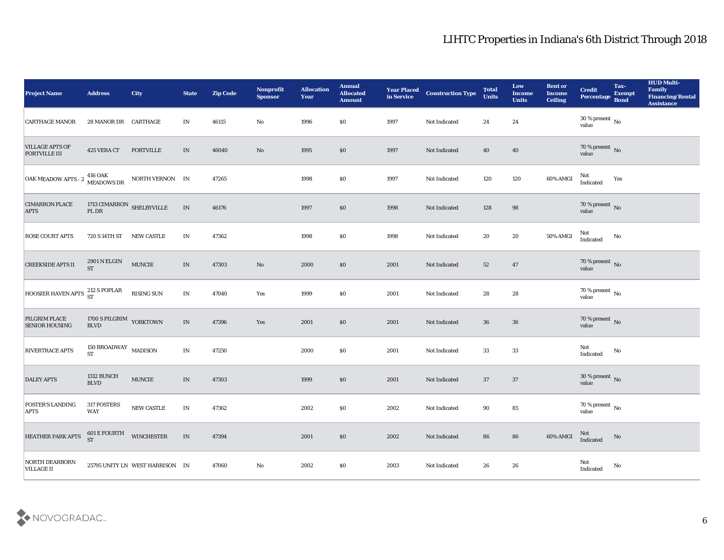| <b>Project Name</b>                            | <b>Address</b>                                    | City                            | <b>State</b>                      | <b>Zip Code</b> | Nonprofit<br><b>Sponsor</b> | <b>Allocation</b><br>Year | <b>Annual</b><br><b>Allocated</b><br><b>Amount</b> | <b>Year Placed</b><br>in Service | <b>Construction Type</b> | <b>Total</b><br>Units | Low<br><b>Income</b><br><b>Units</b> | <b>Rent or</b><br><b>Income</b><br><b>Ceiling</b> | <b>Credit</b><br>Percentage         | Tax-<br><b>Exempt</b><br><b>Bond</b> | <b>HUD Multi-</b><br>Family<br><b>Financing/Rental</b><br><b>Assistance</b> |
|------------------------------------------------|---------------------------------------------------|---------------------------------|-----------------------------------|-----------------|-----------------------------|---------------------------|----------------------------------------------------|----------------------------------|--------------------------|-----------------------|--------------------------------------|---------------------------------------------------|-------------------------------------|--------------------------------------|-----------------------------------------------------------------------------|
| <b>CARTHAGE MANOR</b>                          | 28 MANOR DR CARTHAGE                              |                                 | IN                                | 46115           | No                          | 1996                      | \$0                                                | 1997                             | Not Indicated            | 24                    | 24                                   |                                                   | $30\,\%$ present $\,$ No value      |                                      |                                                                             |
| <b>VILLAGE APTS OF</b><br><b>FORTVILLE III</b> | 425 VERA CT                                       | <b>FORTVILLE</b>                | IN                                | 46040           | No                          | 1995                      | \$0                                                | 1997                             | Not Indicated            | 40                    | 40                                   |                                                   | $70\,\%$ present $\,$ No value      |                                      |                                                                             |
| OAK MEADOW APTS - 2                            | 416 OAK<br>MEADOWS DR                             | NORTH VERNON IN                 |                                   | 47265           |                             | 1998                      | \$0                                                | 1997                             | Not Indicated            | 120                   | 120                                  | 60% AMGI                                          | Not<br>Indicated                    | Yes                                  |                                                                             |
| <b>CIMARRON PLACE</b><br><b>APTS</b>           | 1713 $\texttt{CIMARRON}\xspace$ SHELBYVILLE PL DR |                                 | $\ensuremath{\text{IN}}$          | 46176           |                             | 1997                      | \$0                                                | 1998                             | Not Indicated            | 128                   | 98                                   |                                                   | $70\,\%$ present $\,$ No value      |                                      |                                                                             |
| <b>ROSE COURT APTS</b>                         | 720 S 14TH ST                                     | <b>NEW CASTLE</b>               | IN                                | 47362           |                             | 1998                      | \$0                                                | 1998                             | Not Indicated            | 20                    | 20                                   | 50% AMGI                                          | Not<br>Indicated                    | No                                   |                                                                             |
| <b>CREEKSIDE APTS II</b>                       | 2901 N ELGIN<br><b>ST</b>                         | $\texttt{MUNCIE}$               | IN                                | 47303           | No                          | 2000                      | \$0                                                | 2001                             | Not Indicated            | 52                    | 47                                   |                                                   | $70\,\%$ present $\,$ No value      |                                      |                                                                             |
| HOOSIER HAVEN APTS $^{212}_{ST}$ S POPLAR      |                                                   | RISING SUN                      | $\mathbf{IN}$                     | 47040           | Yes                         | 1999                      | \$0                                                | 2001                             | Not Indicated            | 28                    | 28                                   |                                                   | $70\,\% \,present \over value$      |                                      |                                                                             |
| PILGRIM PLACE<br><b>SENIOR HOUSING</b>         | 1700 S PILGRIM YORKTOWN<br><b>BLVD</b>            |                                 | IN                                | 47396           | Yes                         | 2001                      | $\boldsymbol{\mathsf{S}}\boldsymbol{\mathsf{O}}$   | 2001                             | Not Indicated            | 36                    | 36                                   |                                                   | $70\,\%$ present $\,$ No $\,$ value |                                      |                                                                             |
| RIVERTRACE APTS                                | 150 BROADWAY $\,$ MADISON $\,$<br><b>ST</b>       |                                 | IN                                | 47250           |                             | 2000                      | \$0                                                | 2001                             | Not Indicated            | 33                    | 33                                   |                                                   | Not<br>$\operatorname{Indicated}$   | No                                   |                                                                             |
| <b>DALEY APTS</b>                              | 1312 BUNCH<br><b>BLVD</b>                         | <b>MUNCIE</b>                   | $\ensuremath{\text{IN}}\xspace$   | 47303           |                             | 1999                      | \$0                                                | 2001                             | Not Indicated            | 37                    | 37                                   |                                                   | $30\,\%$ present $\,$ No value      |                                      |                                                                             |
| <b>FOSTER'S LANDING</b><br><b>APTS</b>         | 317 FOSTERS<br>WAY                                | NEW CASTLE                      | IN                                | 47362           |                             | 2002                      | \$0                                                | 2002                             | Not Indicated            | 90                    | 85                                   |                                                   | 70 % present No<br>value            |                                      |                                                                             |
| HEATHER PARK APTS                              | <b>601 E FOURTH WINCHESTER</b><br><b>ST</b>       |                                 | $\ensuremath{\text{\textbf{IN}}}$ | 47394           |                             | 2001                      | $\$0$                                              | 2002                             | Not Indicated            | 86                    | 86                                   | 60% AMGI                                          | Not<br>Indicated                    | $\mathbf {No}$                       |                                                                             |
| <b>NORTH DEARBORN</b><br><b>VILLAGE II</b>     |                                                   | 25795 UNITY LN WEST HARRISON IN |                                   | 47060           | $\mathbf {No}$              | 2002                      | $\$0$                                              | 2003                             | Not Indicated            | 26                    | ${\bf 26}$                           |                                                   | Not<br>Indicated                    | $\rm\thinspace No$                   |                                                                             |

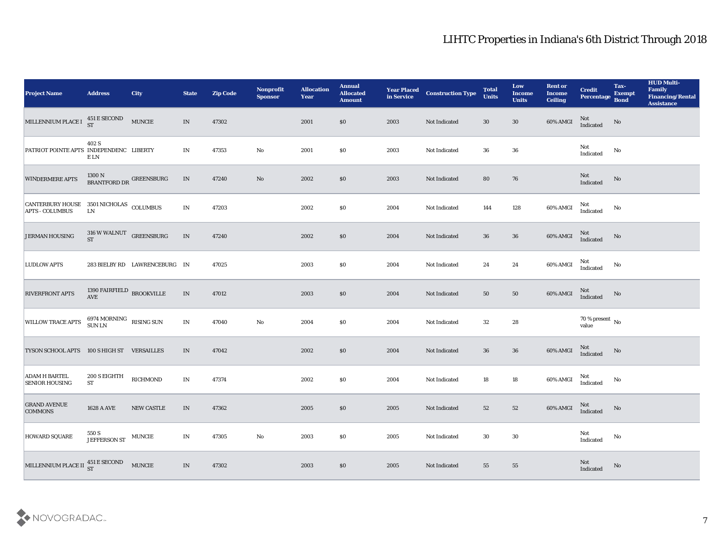| <b>Project Name</b>                                               | <b>Address</b>                                           | <b>City</b>                   | <b>State</b>             | <b>Zip Code</b> | Nonprofit<br><b>Sponsor</b> | <b>Allocation</b><br><b>Year</b> | <b>Annual</b><br><b>Allocated</b><br><b>Amount</b> | <b>Year Placed<br/>in Service</b> | <b>Construction Type</b> | <b>Total</b><br><b>Units</b> | Low<br><b>Income</b><br><b>Units</b> | <b>Rent or</b><br><b>Income</b><br><b>Ceiling</b> | <b>Credit</b><br>Percentage    | Tax-<br><b>Exempt</b><br><b>Bond</b> | <b>HUD Multi-</b><br>Family<br><b>Financing/Rental</b><br><b>Assistance</b> |
|-------------------------------------------------------------------|----------------------------------------------------------|-------------------------------|--------------------------|-----------------|-----------------------------|----------------------------------|----------------------------------------------------|-----------------------------------|--------------------------|------------------------------|--------------------------------------|---------------------------------------------------|--------------------------------|--------------------------------------|-----------------------------------------------------------------------------|
| MILLENNIUM PLACE I $^{451}_{ST}$ E SECOND                         |                                                          | <b>MUNCIE</b>                 | IN                       | 47302           |                             | 2001                             | \$0                                                | 2003                              | Not Indicated            | 30                           | 30                                   | 60% AMGI                                          | Not<br>Indicated               | No                                   |                                                                             |
| PATRIOT POINTE APTS INDEPENDENC LIBERTY                           | 402 S<br>E LN                                            |                               | IN                       | 47353           | No                          | 2001                             | $\$0$                                              | 2003                              | Not Indicated            | 36                           | 36                                   |                                                   | Not<br>Indicated               | $\mathbf{N}\mathbf{o}$               |                                                                             |
| <b>WINDERMERE APTS</b>                                            | $1300\,\mathrm{N}$ BRANTFORD DR $^{\mathrm{GREENSBURG}}$ |                               | IN                       | 47240           | No                          | 2002                             | \$0                                                | 2003                              | Not Indicated            | 80                           | 76                                   |                                                   | Not<br>Indicated               | No                                   |                                                                             |
| CANTERBURY HOUSE 3501 NICHOLAS COLUMBUS<br><b>APTS - COLUMBUS</b> | ${\rm LN}$                                               |                               | IN                       | 47203           |                             | 2002                             | \$0                                                | 2004                              | Not Indicated            | 144                          | 128                                  | 60% AMGI                                          | Not<br>Indicated               | No                                   |                                                                             |
| <b>JERMAN HOUSING</b>                                             | 316 W WALNUT GREENSBURG<br><b>ST</b>                     |                               | IN                       | 47240           |                             | 2002                             | \$0                                                | 2004                              | Not Indicated            | 36                           | 36                                   | 60% AMGI                                          | Not<br>Indicated               | No                                   |                                                                             |
| <b>LUDLOW APTS</b>                                                |                                                          | 283 BIELBY RD LAWRENCEBURG IN |                          | 47025           |                             | 2003                             | \$0                                                | 2004                              | Not Indicated            | 24                           | 24                                   | 60% AMGI                                          | Not<br>Indicated               | No                                   |                                                                             |
| <b>RIVERFRONT APTS</b>                                            | 1390 FAIRFIELD BROOKVILLE<br><b>AVE</b>                  |                               | IN                       | 47012           |                             | 2003                             | $\$0$                                              | 2004                              | Not Indicated            | 50                           | 50                                   | 60% AMGI                                          | Not<br>Indicated               | No                                   |                                                                             |
| <b>WILLOW TRACE APTS</b>                                          | $6974~\rm{MORMING} \quad$ RISING SUN SUN LN              |                               | IN                       | 47040           | $\mathbf{N}\mathbf{o}$      | 2004                             | \$0                                                | 2004                              | Not Indicated            | 32                           | 28                                   |                                                   | $70\,\%$ present $\,$ No value |                                      |                                                                             |
| <b>TYSON SCHOOL APTS</b>                                          | 100 S HIGH ST VERSAILLES                                 |                               | IN                       | 47042           |                             | 2002                             | \$0\$                                              | 2004                              | Not Indicated            | 36                           | ${\bf 36}$                           | 60% AMGI                                          | Not<br>Indicated               | No                                   |                                                                             |
| <b>ADAM H BARTEL</b><br><b>SENIOR HOUSING</b>                     | 200 S EIGHTH<br><b>ST</b>                                | RICHMOND                      | $\mathbf{IN}$            | 47374           |                             | 2002                             | \$0                                                | 2004                              | Not Indicated            | 18                           | 18                                   | 60% AMGI                                          | Not<br>Indicated               | No                                   |                                                                             |
| <b>GRAND AVENUE</b><br><b>COMMONS</b>                             | <b>1628 A AVE</b>                                        | NEW CASTLE                    | IN                       | 47362           |                             | 2005                             | \$0                                                | 2005                              | Not Indicated            | 52                           | 52                                   | 60% AMGI                                          | Not<br>Indicated               | No                                   |                                                                             |
| <b>HOWARD SQUARE</b>                                              | $550$ S $$\tt JEFFERSON\,ST$$ $$\tt MUNCIE$$             |                               | $\ensuremath{\text{IN}}$ | 47305           | $\mathbf {No}$              | 2003                             | $\$0$                                              | 2005                              | Not Indicated            | 30                           | $30\,$                               |                                                   | Not<br>Indicated               | ${\bf No}$                           |                                                                             |
| MILLENNIUM PLACE II 451 E SECOND                                  |                                                          | <b>MUNCIE</b>                 | $\mathbf{IN}$            | 47302           |                             | $\boldsymbol{2003}$              | $\$0$                                              | $\boldsymbol{2005}$               | Not Indicated            | ${\bf 55}$                   | ${\bf 55}$                           |                                                   | $\rm Not$ Indicated            | $\rm No$                             |                                                                             |

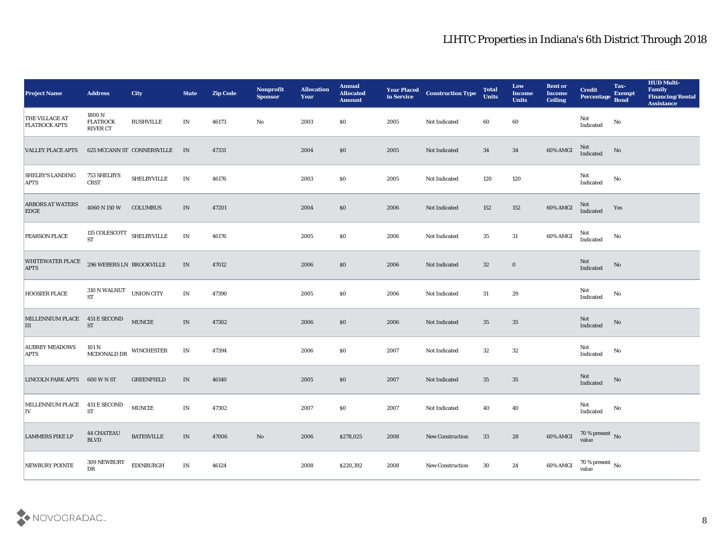| <b>Project Name</b>                    | <b>Address</b>                               | City                       | <b>State</b>                    | <b>Zip Code</b> | Nonprofit<br><b>Sponsor</b> | <b>Allocation</b><br><b>Year</b> | <b>Annual</b><br><b>Allocated</b><br><b>Amount</b> | <b>Year Placed</b><br>in Service | <b>Construction Type</b> | <b>Total</b><br><b>Units</b> | Low<br><b>Income</b><br><b>Units</b> | <b>Rent or</b><br><b>Income</b><br><b>Ceiling</b> | <b>Credit</b><br>Percentage Bond | Tax-<br><b>Exempt</b> | <b>HUD Multi-</b><br>Family<br><b>Financing/Rental</b><br><b>Assistance</b> |
|----------------------------------------|----------------------------------------------|----------------------------|---------------------------------|-----------------|-----------------------------|----------------------------------|----------------------------------------------------|----------------------------------|--------------------------|------------------------------|--------------------------------------|---------------------------------------------------|----------------------------------|-----------------------|-----------------------------------------------------------------------------|
| THE VILLAGE AT<br><b>FLATROCK APTS</b> | 1800 N<br><b>FLATROCK</b><br><b>RIVER CT</b> | <b>RUSHVILLE</b>           | IN                              | 46173           | No                          | 2003                             | \$0                                                | 2005                             | Not Indicated            | 60                           | 60                                   |                                                   | Not<br>Indicated                 | No                    |                                                                             |
| <b>VALLEY PLACE APTS</b>               |                                              | 625 MCCANN ST CONNERSVILLE | IN                              | 47331           |                             | 2004                             | \$0                                                | 2005                             | Not Indicated            | 34                           | 34                                   | 60% AMGI                                          | Not<br>Indicated                 | No                    |                                                                             |
| <b>SHELBY'S LANDING</b><br><b>APTS</b> | 753 SHELBYS<br><b>CRST</b>                   | <b>SHELBYVILLE</b>         | IN                              | 46176           |                             | 2003                             | \$0                                                | 2005                             | Not Indicated            | 120                          | 120                                  |                                                   | Not<br>Indicated                 | No                    |                                                                             |
| <b>ARBORS AT WATERS</b><br><b>EDGE</b> | 4060 N 150 W                                 | <b>COLUMBUS</b>            | IN                              | 47201           |                             | 2004                             | $\$0$                                              | 2006                             | Not Indicated            | 152                          | 152                                  | 60% AMGI                                          | Not<br>Indicated                 | Yes                   |                                                                             |
| <b>PEARSON PLACE</b>                   | 115 COLESCOTT $\,$ SHELBYVILLE<br><b>ST</b>  |                            | $\ensuremath{\text{IN}}$        | 46176           |                             | 2005                             | \$0                                                | 2006                             | Not Indicated            | 35                           | 31                                   | 60% AMGI                                          | Not<br>Indicated                 | No                    |                                                                             |
| WHITEWATER PLACE<br><b>APTS</b>        | 296 WEBERS LN BROOKVILLE                     |                            | IN                              | 47012           |                             | 2006                             | \$0                                                | 2006                             | Not Indicated            | 32                           | $\bf{0}$                             |                                                   | Not<br>Indicated                 | No                    |                                                                             |
| <b>HOOSIER PLACE</b>                   | $310$ N WALNUT $\_$ UNION CITY<br><b>ST</b>  |                            | IN                              | 47390           |                             | 2005                             | \$0                                                | 2006                             | Not Indicated            | 31                           | 29                                   |                                                   | Not<br>Indicated                 | No                    |                                                                             |
| MILLENNIUM PLACE 451 E SECOND<br>III   | <b>ST</b>                                    | <b>MUNCIE</b>              | IN                              | 47302           |                             | 2006                             | $\$0$                                              | 2006                             | Not Indicated            | 35                           | 35                                   |                                                   | Not<br>Indicated                 | No                    |                                                                             |
| <b>AUBREY MEADOWS</b><br><b>APTS</b>   | 101 N<br>MCDONALD DR                         | <b>WINCHESTER</b>          | $\ensuremath{\text{IN}}\xspace$ | 47394           |                             | 2006                             | \$0                                                | 2007                             | Not Indicated            | 32                           | 32                                   |                                                   | Not<br>Indicated                 | No                    |                                                                             |
| LINCOLN PARK APTS 600 W N ST           |                                              | <b>GREENFIELD</b>          | IN                              | 46140           |                             | 2005                             | \$0                                                | 2007                             | Not Indicated            | 35                           | 35                                   |                                                   | Not<br>Indicated                 | No                    |                                                                             |
| MILLENNIUM PLACE 451 E SECOND<br> IV   | ST                                           | <b>MUNCIE</b>              | IN                              | 47302           |                             | 2007                             | $\$0$                                              | 2007                             | Not Indicated            | 40                           | 40                                   |                                                   | Not<br>Indicated                 | No                    |                                                                             |
| <b>LAMMERS PIKE LP</b>                 | <b>44 CHATEAU</b><br>$\operatorname{BLVD}$   | <b>BATESVILLE</b>          | $\ensuremath{\text{IN}}\xspace$ | 47006           | $\rm\thinspace No$          | 2006                             | \$278,025                                          | 2008                             | New Construction         | 33                           | 28                                   | 60% AMGI                                          | $70\,\%$ present $\,$ No value   |                       |                                                                             |
| NEWBURY POINTE                         | $309\,\mathrm{NEWBURY}$<br>${\rm D}{\rm R}$  | <b>EDINBURGH</b>           | $\mathbf{IN}$                   | 46124           |                             | 2008                             | \$220,392                                          | 2008                             | New Construction         | 30                           | 24                                   | 60% AMGI                                          | $70\,\%$ present $\,$ No value   |                       |                                                                             |

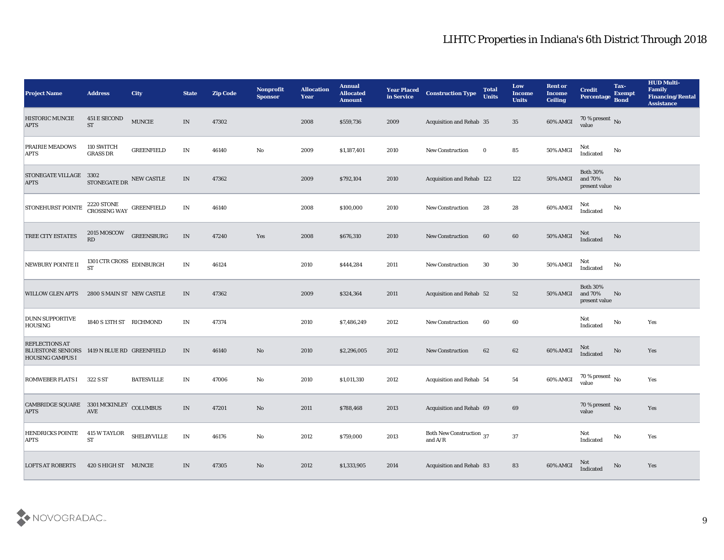| <b>Project Name</b>                                                                             | <b>Address</b>                             | <b>City</b>        | <b>State</b>                    | <b>Zip Code</b> | Nonprofit<br><b>Sponsor</b> | <b>Allocation</b><br><b>Year</b> | <b>Annual</b><br><b>Allocated</b><br><b>Amount</b> | <b>Year Placed</b><br>in Service | <b>Construction Type</b>                                                          | <b>Total</b><br><b>Units</b> | Low<br><b>Income</b><br><b>Units</b> | <b>Rent or</b><br>Income<br><b>Ceiling</b> | <b>Credit</b><br><b>Percentage</b>          | Tax-<br><b>Exempt</b><br><b>Bond</b> | <b>HUD Multi-</b><br>Family<br><b>Financing/Rental</b><br><b>Assistance</b> |
|-------------------------------------------------------------------------------------------------|--------------------------------------------|--------------------|---------------------------------|-----------------|-----------------------------|----------------------------------|----------------------------------------------------|----------------------------------|-----------------------------------------------------------------------------------|------------------------------|--------------------------------------|--------------------------------------------|---------------------------------------------|--------------------------------------|-----------------------------------------------------------------------------|
| <b>HISTORIC MUNCIE</b><br><b>APTS</b>                                                           | 451 E SECOND<br><b>ST</b>                  | <b>MUNCIE</b>      | IN                              | 47302           |                             | 2008                             | \$559,736                                          | 2009                             | Acquisition and Rehab 35                                                          |                              | 35                                   | 60% AMGI                                   | 70 % present No<br>value                    |                                      |                                                                             |
| PRAIRIE MEADOWS<br><b>APTS</b>                                                                  | 110 SWITCH<br><b>GRASS DR</b>              | <b>GREENFIELD</b>  | IN                              | 46140           | No                          | 2009                             | \$1,187,401                                        | 2010                             | <b>New Construction</b>                                                           | $\bf{0}$                     | 85                                   | 50% AMGI                                   | Not<br>Indicated                            | No                                   |                                                                             |
| STONEGATE VILLAGE 3302<br><b>APTS</b>                                                           | STONEGATE DR NEW CASTLE                    |                    | IN                              | 47362           |                             | 2009                             | \$792,104                                          | 2010                             | Acquisition and Rehab 122                                                         |                              | 122                                  | 50% AMGI                                   | <b>Both 30%</b><br>and 70%<br>present value | No                                   |                                                                             |
| <b>STONEHURST POINTE</b>                                                                        | $2220$ STONE $$\sf{GREENFIELD}\normalsize$ |                    | IN                              | 46140           |                             | 2008                             | \$100,000                                          | 2010                             | <b>New Construction</b>                                                           | 28                           | 28                                   | 60% AMGI                                   | Not<br>Indicated                            | No                                   |                                                                             |
| TREE CITY ESTATES                                                                               | 2015 MOSCOW<br><b>RD</b>                   | <b>GREENSBURG</b>  | IN                              | 47240           | Yes                         | 2008                             | \$676,310                                          | 2010                             | <b>New Construction</b>                                                           | 60                           | 60                                   | 50% AMGI                                   | Not<br>Indicated                            | No                                   |                                                                             |
| NEWBURY POINTE II                                                                               | 1301 CTR CROSS $\,$ EDINBURGH<br><b>ST</b> |                    | IN                              | 46124           |                             | 2010                             | \$444,284                                          | 2011                             | <b>New Construction</b>                                                           | 30                           | 30                                   | 50% AMGI                                   | Not<br>Indicated                            | No                                   |                                                                             |
| <b>WILLOW GLEN APTS</b>                                                                         | 2800 S MAIN ST NEW CASTLE                  |                    | IN                              | 47362           |                             | 2009                             | \$324,364                                          | 2011                             | Acquisition and Rehab 52                                                          |                              | 52                                   | 50% AMGI                                   | <b>Both 30%</b><br>and 70%<br>present value | No                                   |                                                                             |
| <b>DUNN SUPPORTIVE</b><br><b>HOUSING</b>                                                        | 1840 S13TH ST RICHMOND                     |                    | IN                              | 47374           |                             | 2010                             | \$7,486,249                                        | 2012                             | <b>New Construction</b>                                                           | 60                           | 60                                   |                                            | Not<br>Indicated                            | No                                   | Yes                                                                         |
| <b>REFLECTIONS AT</b><br>BLUESTONE SENIORS 1419 N BLUE RD GREENFIELD<br><b>HOUSING CAMPUS I</b> |                                            |                    | IN                              | 46140           | No                          | 2010                             | \$2,296,005                                        | 2012                             | <b>New Construction</b>                                                           | 62                           | 62                                   | 60% AMGI                                   | Not<br>Indicated                            | No                                   | Yes                                                                         |
| <b>ROMWEBER FLATS I</b>                                                                         | 322 S ST                                   | <b>BATESVILLE</b>  | IN                              | 47006           | No                          | 2010                             | \$1,011,310                                        | 2012                             | Acquisition and Rehab 54                                                          |                              | 54                                   | 60% AMGI                                   | $70\,\%$ present $\,$ No value              |                                      | Yes                                                                         |
| CAMBRIDGE SQUARE 3301 MCKINLEY COLUMBUS<br><b>APTS</b>                                          | AVE                                        |                    | IN                              | 47201           | No                          | 2011                             | \$788,468                                          | 2013                             | Acquisition and Rehab 69                                                          |                              | 69                                   |                                            | 70 % present No<br>value                    |                                      | Yes                                                                         |
| <b>HENDRICKS POINTE</b><br><b>APTS</b>                                                          | <b>415 W TAYLOR</b><br><b>ST</b>           | <b>SHELBYVILLE</b> | $\mathbf{IN}$                   | 46176           | $\mathbf {No}$              | 2012                             | \$759,000                                          | 2013                             | Both New Construction 37<br>and $\ensuremath{\mathrm{A}}/\ensuremath{\mathrm{R}}$ |                              | 37                                   |                                            | Not<br>Indicated                            | $\rm No$                             | Yes                                                                         |
| <b>LOFTS AT ROBERTS</b>                                                                         | 420 S HIGH ST MUNCIE                       |                    | $\ensuremath{\text{IN}}\xspace$ | 47305           | $\mathbf{N}\mathbf{o}$      | 2012                             | \$1,333,905                                        | 2014                             | Acquisition and Rehab 83                                                          |                              | 83                                   | 60% AMGI                                   | <b>Not</b><br>Indicated                     | No                                   | Yes                                                                         |